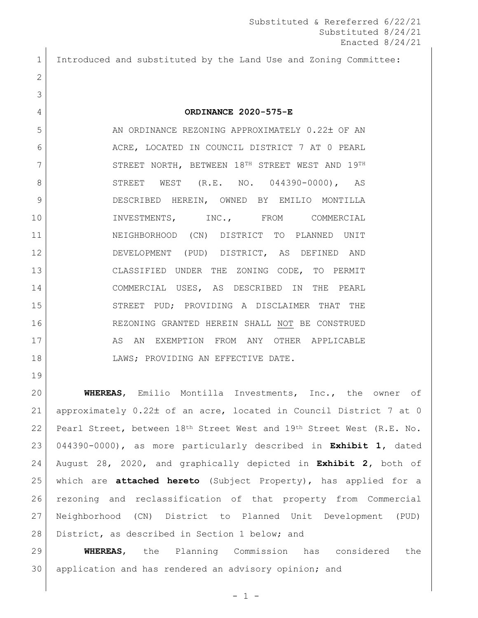Introduced and substituted by the Land Use and Zoning Committee:

## **ORDINANCE 2020-575-E**

5 AN ORDINANCE REZONING APPROXIMATELY 0.22± OF AN 6 ACRE, LOCATED IN COUNCIL DISTRICT 7 AT 0 PEARL 7 STREET NORTH, BETWEEN 18<sup>TH</sup> STREET WEST AND 19TH 8 STREET WEST (R.E. NO. 044390-0000), AS DESCRIBED HEREIN, OWNED BY EMILIO MONTILLA 10 INVESTMENTS, INC., FROM COMMERCIAL NEIGHBORHOOD (CN) DISTRICT TO PLANNED UNIT DEVELOPMENT (PUD) DISTRICT, AS DEFINED AND CLASSIFIED UNDER THE ZONING CODE, TO PERMIT COMMERCIAL USES, AS DESCRIBED IN THE PEARL STREET PUD; PROVIDING A DISCLAIMER THAT THE REZONING GRANTED HEREIN SHALL NOT BE CONSTRUED 17 AS AN EXEMPTION FROM ANY OTHER APPLICABLE LAWS; PROVIDING AN EFFECTIVE DATE.

 **WHEREAS**, Emilio Montilla Investments, Inc., the owner of approximately 0.22 of an acre, located in Council District 7 at 0 Pearl Street, between 18th Street West and 19th Street West (R.E. No. 044390-0000), as more particularly described in **Exhibit 1,** dated August 28, 2020, and graphically depicted in **Exhibit 2,** both of which are **attached hereto** (Subject Property), has applied for a rezoning and reclassification of that property from Commercial Neighborhood (CN) District to Planned Unit Development (PUD) 28 District, as described in Section 1 below; and

 **WHEREAS**, the Planning Commission has considered the 30 application and has rendered an advisory opinion; and

 $- 1 -$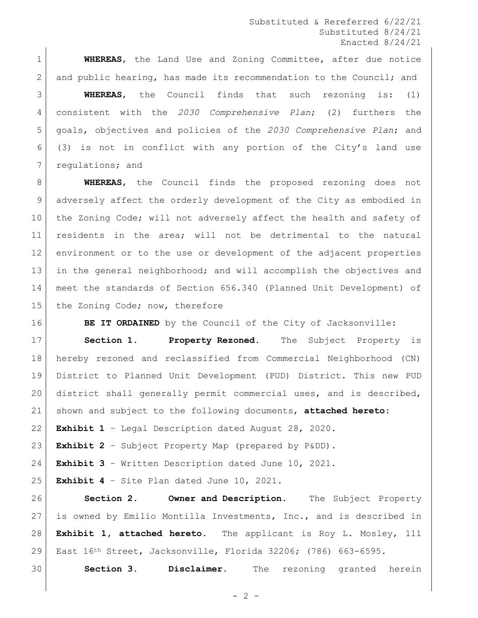Substituted & Rereferred 6/22/21 Substituted 8/24/21 Enacted 8/24/21

 **WHEREAS**, the Land Use and Zoning Committee, after due notice 2 and public hearing, has made its recommendation to the Council; and

 **WHEREAS**, the Council finds that such rezoning is: (1) consistent with the *2030 Comprehensive Plan*; (2) furthers the goals, objectives and policies of the *2030 Comprehensive Plan*; and (3) is not in conflict with any portion of the City's land use 7 regulations; and

 **WHEREAS**, the Council finds the proposed rezoning does not adversely affect the orderly development of the City as embodied in 10 the Zoning Code; will not adversely affect the health and safety of residents in the area; will not be detrimental to the natural environment or to the use or development of the adjacent properties in the general neighborhood; and will accomplish the objectives and meet the standards of Section 656.340 (Planned Unit Development) of 15 the Zoning Code; now, therefore

**BE IT ORDAINED** by the Council of the City of Jacksonville:

 **Section 1. Property Rezoned.** The Subject Property is hereby rezoned and reclassified from Commercial Neighborhood (CN) District to Planned Unit Development (PUD) District. This new PUD district shall generally permit commercial uses, and is described, shown and subject to the following documents, **attached hereto**:

**Exhibit 1** – Legal Description dated August 28, 2020.

**Exhibit 2** – Subject Property Map (prepared by P&DD).

**Exhibit 3** – Written Description dated June 10, 2021.

 $\vert$  **Exhibit 4** - Site Plan dated June 10, 2021.

 **Section 2. Owner and Description.** The Subject Property is owned by Emilio Montilla Investments, Inc., and is described in **Exhibit 1, attached hereto.** The applicant is Roy L. Mosley, 111 East 16th Street, Jacksonville, Florida 32206; (786) 663-6595.

**Section 3. Disclaimer.** The rezoning granted herein

 $- 2 -$